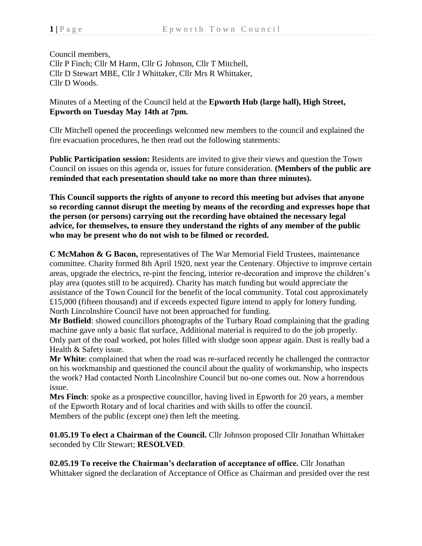Council members, Cllr P Finch; Cllr M Harm, Cllr G Johnson, Cllr T Mitchell, Cllr D Stewart MBE, Cllr J Whittaker, Cllr Mrs R Whittaker, Cllr D Woods.

Minutes of a Meeting of the Council held at the **Epworth Hub (large hall), High Street, Epworth on Tuesday May 14th at 7pm.**

Cllr Mitchell opened the proceedings welcomed new members to the council and explained the fire evacuation procedures, he then read out the following statements:

**Public Participation session:** Residents are invited to give their views and question the Town Council on issues on this agenda or, issues for future consideration. **(Members of the public are reminded that each presentation should take no more than three minutes).**

**This Council supports the rights of anyone to record this meeting but advises that anyone so recording cannot disrupt the meeting by means of the recording and expresses hope that the person (or persons) carrying out the recording have obtained the necessary legal advice, for themselves, to ensure they understand the rights of any member of the public who may be present who do not wish to be filmed or recorded.**

**C McMahon & G Bacon,** representatives of The War Memorial Field Trustees, maintenance committee. Charity formed 8th April 1920, next year the Centenary. Objective to improve certain areas, upgrade the electrics, re-pint the fencing, interior re-decoration and improve the children's play area (quotes still to be acquired). Charity has match funding but would appreciate the assistance of the Town Council for the benefit of the local community. Total cost approximately £15,000 (fifteen thousand) and if exceeds expected figure intend to apply for lottery funding. North Lincolnshire Council have not been approached for funding.

**Mr Botfield**: showed councillors photographs of the Turbary Road complaining that the grading machine gave only a basic flat surface, Additional material is required to do the job properly. Only part of the road worked, pot holes filled with sludge soon appear again. Dust is really bad a Health & Safety issue.

**Mr White**: complained that when the road was re-surfaced recently he challenged the contractor on his workmanship and questioned the council about the quality of workmanship, who inspects the work? Had contacted North Lincolnshire Council but no-one comes out. Now a horrendous issue.

**Mrs Finch**: spoke as a prospective councillor, having lived in Epworth for 20 years, a member of the Epworth Rotary and of local charities and with skills to offer the council. Members of the public (except one) then left the meeting.

**01.05.19 To elect a Chairman of the Council.** Cllr Johnson proposed Cllr Jonathan Whittaker seconded by Cllr Stewart; **RESOLVED**.

**02.05.19 To receive the Chairman's declaration of acceptance of office.** Cllr Jonathan Whittaker signed the declaration of Acceptance of Office as Chairman and presided over the rest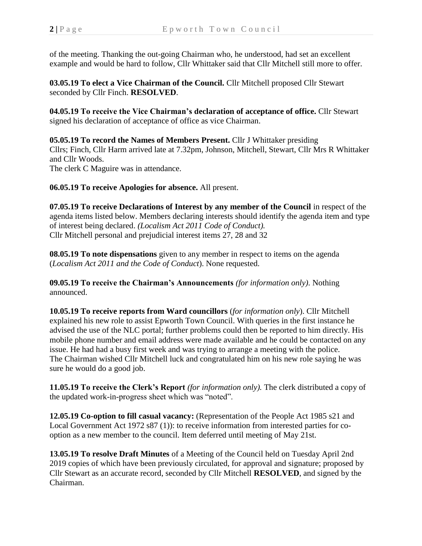of the meeting. Thanking the out-going Chairman who, he understood, had set an excellent example and would be hard to follow, Cllr Whittaker said that Cllr Mitchell still more to offer.

**03.05.19 To elect a Vice Chairman of the Council.** Cllr Mitchell proposed Cllr Stewart seconded by Cllr Finch. **RESOLVED**.

**04.05.19 To receive the Vice Chairman's declaration of acceptance of office.** Cllr Stewart signed his declaration of acceptance of office as vice Chairman.

**05.05.19 To record the Names of Members Present.** Cllr J Whittaker presiding Cllrs; Finch, Cllr Harm arrived late at 7.32pm, Johnson, Mitchell, Stewart, Cllr Mrs R Whittaker and Cllr Woods. The clerk C Maguire was in attendance.

**06.05.19 To receive Apologies for absence.** All present.

**07.05.19 To receive Declarations of Interest by any member of the Council** in respect of the agenda items listed below. Members declaring interests should identify the agenda item and type of interest being declared. *(Localism Act 2011 Code of Conduct).* Cllr Mitchell personal and prejudicial interest items 27, 28 and 32

**08.05.19 To note dispensations** given to any member in respect to items on the agenda (*Localism Act 2011 and the Code of Conduct*). None requested.

**09.05.19 To receive the Chairman's Announcements** *(for information only)*. Nothing announced.

**10.05.19 To receive reports from Ward councillors** (*for information only*). Cllr Mitchell explained his new role to assist Epworth Town Council. With queries in the first instance he advised the use of the NLC portal; further problems could then be reported to him directly. His mobile phone number and email address were made available and he could be contacted on any issue. He had had a busy first week and was trying to arrange a meeting with the police. The Chairman wished Cllr Mitchell luck and congratulated him on his new role saying he was sure he would do a good job.

**11.05.19 To receive the Clerk's Report** *(for information only).* The clerk distributed a copy of the updated work-in-progress sheet which was "noted".

**12.05.19 Co-option to fill casual vacancy:** (Representation of the People Act 1985 s21 and Local Government Act 1972 s87 (1)): to receive information from interested parties for cooption as a new member to the council. Item deferred until meeting of May 21st.

**13.05.19 To resolve Draft Minutes** of a Meeting of the Council held on Tuesday April 2nd 2019 copies of which have been previously circulated, for approval and signature; proposed by Cllr Stewart as an accurate record, seconded by Cllr Mitchell **RESOLVED**, and signed by the Chairman.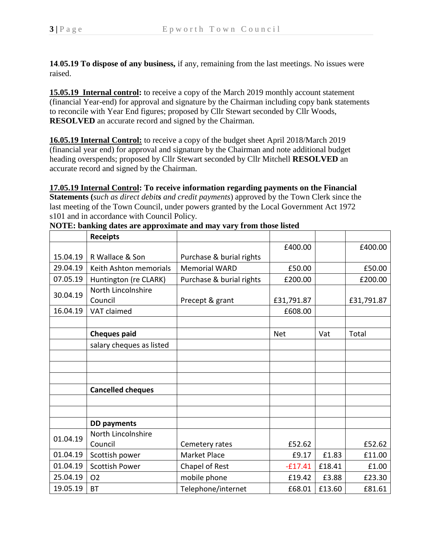**14**.**05.19 To dispose of any business,** if any, remaining from the last meetings. No issues were raised.

**15.05.19 Internal control:** to receive a copy of the March 2019 monthly account statement (financial Year-end) for approval and signature by the Chairman including copy bank statements to reconcile with Year End figures; proposed by Cllr Stewart seconded by Cllr Woods, **RESOLVED** an accurate record and signed by the Chairman.

**16.05.19 Internal Control:** to receive a copy of the budget sheet April 2018/March 2019 (financial year end) for approval and signature by the Chairman and note additional budget heading overspends; proposed by Cllr Stewart seconded by Cllr Mitchell **RESOLVED** an accurate record and signed by the Chairman.

**17.05.19 Internal Control: To receive information regarding payments on the Financial Statements (***such as direct debits and credit payments*) approved by the Town Clerk since the last meeting of the Town Council, under powers granted by the Local Government Act 1972 s101 and in accordance with Council Policy.

|          | <b>Receipts</b>          |                          |            |        |            |
|----------|--------------------------|--------------------------|------------|--------|------------|
|          |                          |                          | £400.00    |        | £400.00    |
| 15.04.19 | R Wallace & Son          | Purchase & burial rights |            |        |            |
| 29.04.19 | Keith Ashton memorials   | <b>Memorial WARD</b>     | £50.00     |        | £50.00     |
| 07.05.19 | Huntington (re CLARK)    | Purchase & burial rights | £200.00    |        | £200.00    |
| 30.04.19 | North Lincolnshire       |                          |            |        |            |
|          | Council                  | Precept & grant          | £31,791.87 |        | £31,791.87 |
| 16.04.19 | VAT claimed              |                          | £608.00    |        |            |
|          |                          |                          |            |        |            |
|          | <b>Cheques paid</b>      |                          | <b>Net</b> | Vat    | Total      |
|          | salary cheques as listed |                          |            |        |            |
|          |                          |                          |            |        |            |
|          |                          |                          |            |        |            |
|          |                          |                          |            |        |            |
|          | <b>Cancelled cheques</b> |                          |            |        |            |
|          |                          |                          |            |        |            |
|          |                          |                          |            |        |            |
|          | <b>DD</b> payments       |                          |            |        |            |
| 01.04.19 | North Lincolnshire       |                          |            |        |            |
|          | Council                  | Cemetery rates           | £52.62     |        | £52.62     |
| 01.04.19 | Scottish power           | Market Place             | £9.17      | £1.83  | £11.00     |
| 01.04.19 | <b>Scottish Power</b>    | Chapel of Rest           | $-£17.41$  | £18.41 | £1.00      |
| 25.04.19 | <b>O2</b>                | mobile phone             | £19.42     | £3.88  | £23.30     |
| 19.05.19 | ВT                       | Telephone/internet       | £68.01     | £13.60 | £81.61     |

**NOTE: banking dates are approximate and may vary from those listed**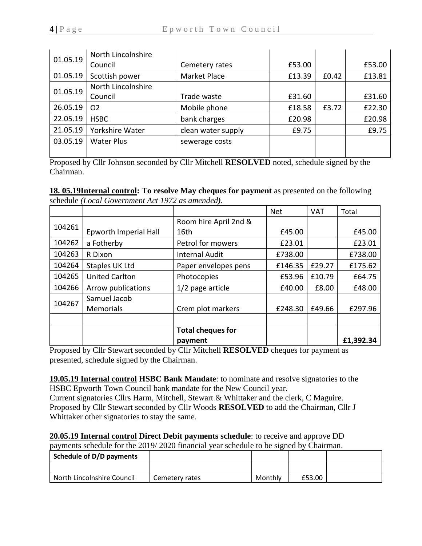| 01.05.19 | North Lincolnshire |                    |        |       |        |
|----------|--------------------|--------------------|--------|-------|--------|
|          | Council            | Cemetery rates     | £53.00 |       | £53.00 |
| 01.05.19 | Scottish power     | Market Place       | £13.39 | £0.42 | £13.81 |
| 01.05.19 | North Lincolnshire |                    |        |       |        |
|          | Council            | Trade waste        | £31.60 |       | £31.60 |
| 26.05.19 | O <sub>2</sub>     | Mobile phone       | £18.58 | £3.72 | £22.30 |
| 22.05.19 | <b>HSBC</b>        | bank charges       | £20.98 |       | £20.98 |
| 21.05.19 | Yorkshire Water    | clean water supply | £9.75  |       | £9.75  |
| 03.05.19 | <b>Water Plus</b>  | sewerage costs     |        |       |        |
|          |                    |                    |        |       |        |

Proposed by Cllr Johnson seconded by Cllr Mitchell **RESOLVED** noted, schedule signed by the Chairman.

**18. 05.19Internal control: To resolve May cheques for payment** as presented on the following schedule *(Local Government Act 1972 as amended).*

|        |                       |                          | <b>Net</b> | <b>VAT</b> | Total     |
|--------|-----------------------|--------------------------|------------|------------|-----------|
| 104261 |                       | Room hire April 2nd &    |            |            |           |
|        | Epworth Imperial Hall | 16th                     | £45.00     |            | £45.00    |
| 104262 | a Fotherby            | Petrol for mowers        | £23.01     |            | £23.01    |
| 104263 | R Dixon               | <b>Internal Audit</b>    | £738.00    |            | £738.00   |
| 104264 | Staples UK Ltd        | Paper envelopes pens     | £146.35    | £29.27     | £175.62   |
| 104265 | <b>United Carlton</b> | Photocopies              | £53.96     | £10.79     | £64.75    |
| 104266 | Arrow publications    | 1/2 page article         | £40.00     | £8.00      | £48.00    |
| 104267 | Samuel Jacob          |                          |            |            |           |
|        | <b>Memorials</b>      | Crem plot markers        | £248.30    | £49.66     | £297.96   |
|        |                       |                          |            |            |           |
|        |                       | <b>Total cheques for</b> |            |            |           |
|        |                       | payment                  |            |            | £1,392.34 |

Proposed by Cllr Stewart seconded by Cllr Mitchell **RESOLVED** cheques for payment as presented, schedule signed by the Chairman.

**19.05.19 Internal control HSBC Bank Mandate**: to nominate and resolve signatories to the HSBC Epworth Town Council bank mandate for the New Council year.

Current signatories Cllrs Harm, Mitchell, Stewart & Whittaker and the clerk, C Maguire. Proposed by Cllr Stewart seconded by Cllr Woods **RESOLVED** to add the Chairman, Cllr J Whittaker other signatories to stay the same.

**20.05.19 Internal control Direct Debit payments schedule**: to receive and approve DD

payments schedule for the 2019/ 2020 financial year schedule to be signed by Chairman.

| Schedule of D/D payments   |                |         |        |  |
|----------------------------|----------------|---------|--------|--|
|                            |                |         |        |  |
| North Lincolnshire Council | Cemetery rates | Monthly | £53.00 |  |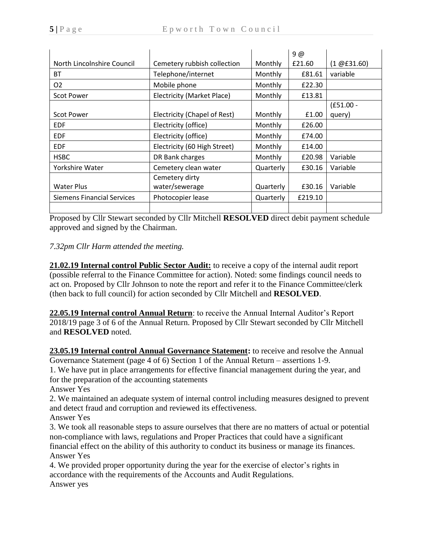|                                   |                              |           | 9@      |                   |
|-----------------------------------|------------------------------|-----------|---------|-------------------|
| North Lincolnshire Council        | Cemetery rubbish collection  | Monthly   | £21.60  | $(1 \times 1.60)$ |
| BT                                | Telephone/internet           | Monthly   | £81.61  | variable          |
| O <sub>2</sub>                    | Mobile phone                 | Monthly   | £22.30  |                   |
| <b>Scot Power</b>                 | Electricity (Market Place)   | Monthly   | £13.81  |                   |
|                                   |                              |           |         | $(E51.00 -$       |
| <b>Scot Power</b>                 | Electricity (Chapel of Rest) | Monthly   | £1.00   | query)            |
| <b>EDF</b>                        | Electricity (office)         | Monthly   | £26.00  |                   |
| <b>EDF</b>                        | Electricity (office)         | Monthly   | £74.00  |                   |
| <b>EDF</b>                        | Electricity (60 High Street) | Monthly   | £14.00  |                   |
| <b>HSBC</b>                       | DR Bank charges              | Monthly   | £20.98  | Variable          |
| Yorkshire Water                   | Cemetery clean water         | Quarterly | £30.16  | Variable          |
|                                   | Cemetery dirty               |           |         |                   |
| <b>Water Plus</b>                 | water/sewerage               | Quarterly | £30.16  | Variable          |
| <b>Siemens Financial Services</b> | Photocopier lease            | Quarterly | £219.10 |                   |
|                                   |                              |           |         |                   |

Proposed by Cllr Stewart seconded by Cllr Mitchell **RESOLVED** direct debit payment schedule approved and signed by the Chairman.

## *7.32pm Cllr Harm attended the meeting.*

**21.02.19 Internal control Public Sector Audit:** to receive a copy of the internal audit report (possible referral to the Finance Committee for action). Noted: some findings council needs to act on. Proposed by Cllr Johnson to note the report and refer it to the Finance Committee/clerk (then back to full council) for action seconded by Cllr Mitchell and **RESOLVED**.

**22.05.19 Internal control Annual Return**: to receive the Annual Internal Auditor's Report 2018/19 page 3 of 6 of the Annual Return. Proposed by Cllr Stewart seconded by Cllr Mitchell and **RESOLVED** noted.

**23.05.19 Internal control Annual Governance Statement:** to receive and resolve the Annual Governance Statement (page 4 of 6) Section 1 of the Annual Return – assertions 1-9.

1. We have put in place arrangements for effective financial management during the year, and for the preparation of the accounting statements

Answer Yes

2. We maintained an adequate system of internal control including measures designed to prevent and detect fraud and corruption and reviewed its effectiveness.

Answer Yes

3. We took all reasonable steps to assure ourselves that there are no matters of actual or potential non-compliance with laws, regulations and Proper Practices that could have a significant financial effect on the ability of this authority to conduct its business or manage its finances.

Answer Yes

4. We provided proper opportunity during the year for the exercise of elector's rights in accordance with the requirements of the Accounts and Audit Regulations. Answer yes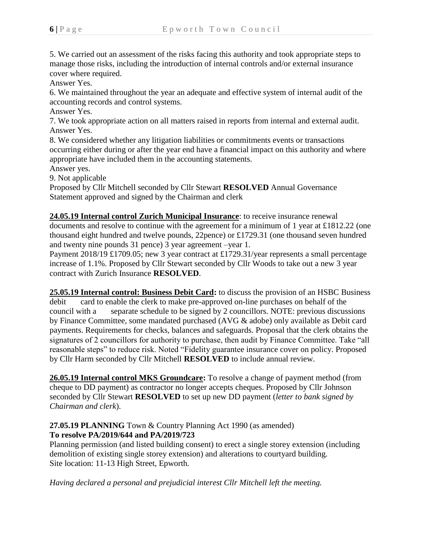5. We carried out an assessment of the risks facing this authority and took appropriate steps to manage those risks, including the introduction of internal controls and/or external insurance cover where required.

Answer Yes.

6. We maintained throughout the year an adequate and effective system of internal audit of the accounting records and control systems.

Answer Yes.

7. We took appropriate action on all matters raised in reports from internal and external audit. Answer Yes.

8. We considered whether any litigation liabilities or commitments events or transactions occurring either during or after the year end have a financial impact on this authority and where appropriate have included them in the accounting statements.

Answer yes.

9. Not applicable

Proposed by Cllr Mitchell seconded by Cllr Stewart **RESOLVED** Annual Governance Statement approved and signed by the Chairman and clerk

**24.05.19 Internal control Zurich Municipal Insurance**: to receive insurance renewal documents and resolve to continue with the agreement for a minimum of 1 year at £1812.22 (one thousand eight hundred and twelve pounds, 22pence) or £1729.31 (one thousand seven hundred and twenty nine pounds 31 pence) 3 year agreement –year 1.

Payment 2018/19 £1709.05; new 3 year contract at £1729.31/year represents a small percentage increase of 1.1%. Proposed by Cllr Stewart seconded by Cllr Woods to take out a new 3 year contract with Zurich Insurance **RESOLVED**.

**25.05.19 Internal control: Business Debit Card:** to discuss the provision of an HSBC Business debit card to enable the clerk to make pre-approved on-line purchases on behalf of the council with a separate schedule to be signed by 2 councillors. NOTE: previous discussions by Finance Committee, some mandated purchased (AVG & adobe) only available as Debit card payments. Requirements for checks, balances and safeguards. Proposal that the clerk obtains the signatures of 2 councillors for authority to purchase, then audit by Finance Committee. Take "all reasonable steps" to reduce risk. Noted "Fidelity guarantee insurance cover on policy. Proposed by Cllr Harm seconded by Cllr Mitchell **RESOLVED** to include annual review.

**26.05.19 Internal control MKS Groundcare:** To resolve a change of payment method (from cheque to DD payment) as contractor no longer accepts cheques. Proposed by Cllr Johnson seconded by Cllr Stewart **RESOLVED** to set up new DD payment (*letter to bank signed by Chairman and clerk*).

## **27.05.19 PLANNING** Town & Country Planning Act 1990 (as amended) **To resolve PA/2019/644 and PA/2019/723**

Planning permission (and listed building consent) to erect a single storey extension (including demolition of existing single storey extension) and alterations to courtyard building. Site location: 11-13 High Street, Epworth.

*Having declared a personal and prejudicial interest Cllr Mitchell left the meeting.*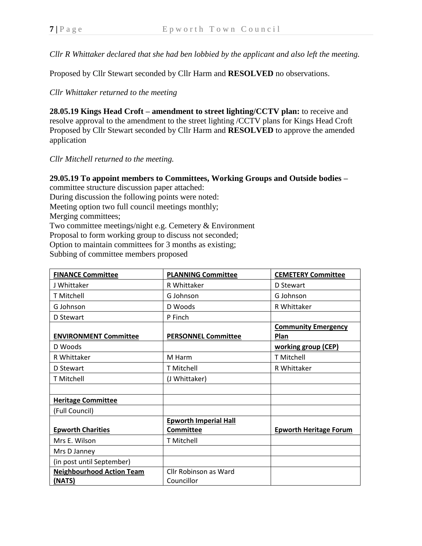*Cllr R Whittaker declared that she had ben lobbied by the applicant and also left the meeting.*

Proposed by Cllr Stewart seconded by Cllr Harm and **RESOLVED** no observations.

*Cllr Whittaker returned to the meeting*

**28.05.19 Kings Head Croft – amendment to street lighting/CCTV plan:** to receive and resolve approval to the amendment to the street lighting /CCTV plans for Kings Head Croft Proposed by Cllr Stewart seconded by Cllr Harm and **RESOLVED** to approve the amended application

*Cllr Mitchell returned to the meeting.*

## **29.05.19 To appoint members to Committees, Working Groups and Outside bodies –**

committee structure discussion paper attached:

During discussion the following points were noted:

Meeting option two full council meetings monthly;

Merging committees;

Two committee meetings/night e.g. Cemetery & Environment

Proposal to form working group to discuss not seconded;

Option to maintain committees for 3 months as existing;

Subbing of committee members proposed

| <b>FINANCE Committee</b>         | <b>PLANNING Committee</b>    | <b>CEMETERY Committee</b>          |
|----------------------------------|------------------------------|------------------------------------|
| J Whittaker                      | R Whittaker                  | D Stewart                          |
| <b>T</b> Mitchell                | G Johnson                    | G Johnson                          |
| G Johnson                        | D Woods                      | R Whittaker                        |
| D Stewart                        | P Finch                      |                                    |
| <b>ENVIRONMENT Committee</b>     | <b>PERSONNEL Committee</b>   | <b>Community Emergency</b><br>Plan |
| D Woods                          |                              | working group (CEP)                |
| R Whittaker                      | M Harm                       | <b>T</b> Mitchell                  |
| D Stewart                        | <b>T</b> Mitchell            | R Whittaker                        |
| <b>T Mitchell</b>                | (J Whittaker)                |                                    |
|                                  |                              |                                    |
| <b>Heritage Committee</b>        |                              |                                    |
| (Full Council)                   |                              |                                    |
|                                  | <b>Epworth Imperial Hall</b> |                                    |
| <b>Epworth Charities</b>         | <b>Committee</b>             | <b>Epworth Heritage Forum</b>      |
| Mrs E. Wilson                    | <b>T</b> Mitchell            |                                    |
| Mrs D Janney                     |                              |                                    |
| (in post until September)        |                              |                                    |
| <b>Neighbourhood Action Team</b> | Cllr Robinson as Ward        |                                    |
| (NATS)                           | Councillor                   |                                    |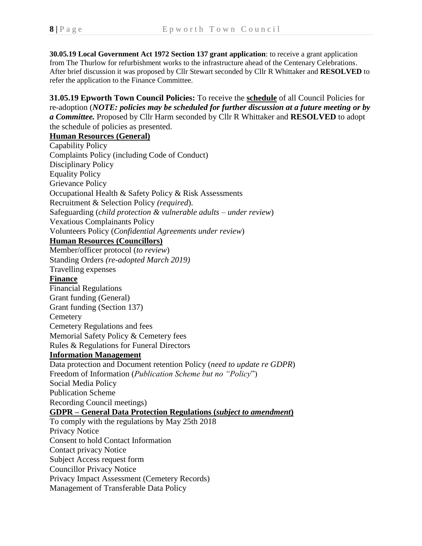**30.05.19 Local Government Act 1972 Section 137 grant application**: to receive a grant application from The Thurlow for refurbishment works to the infrastructure ahead of the Centenary Celebrations. After brief discussion it was proposed by Cllr Stewart seconded by Cllr R Whittaker and **RESOLVED** to refer the application to the Finance Committee.

**31.05.19 Epworth Town Council Policies:** To receive the **schedule** of all Council Policies for re-adoption (*NOTE: policies may be scheduled for further discussion at a future meeting or by a Committee.* Proposed by Cllr Harm seconded by Cllr R Whittaker and **RESOLVED** to adopt the schedule of policies as presented.

## **Human Resources (General)**

Capability Policy Complaints Policy (including Code of Conduct) Disciplinary Policy Equality Policy Grievance Policy Occupational Health & Safety Policy & Risk Assessments Recruitment & Selection Policy *(required*). Safeguarding (*child protection & vulnerable adults – under review*) Vexatious Complainants Policy Volunteers Policy (*Confidential Agreements under review*) **Human Resources (Councillors)** Member/officer protocol (*to review*) Standing Orders *(re-adopted March 2019)* Travelling expenses **Finance** Financial Regulations Grant funding (General) Grant funding (Section 137) **Cemetery** Cemetery Regulations and fees Memorial Safety Policy & Cemetery fees Rules & Regulations for Funeral Directors **Information Management** Data protection and Document retention Policy (*need to update re GDPR*) Freedom of Information (*Publication Scheme but no "Policy*") Social Media Policy Publication Scheme Recording Council meetings) **GDPR – General Data Protection Regulations (***subject to amendment***)** To comply with the regulations by May 25th 2018 Privacy Notice Consent to hold Contact Information Contact privacy Notice Subject Access request form Councillor Privacy Notice Privacy Impact Assessment (Cemetery Records) Management of Transferable Data Policy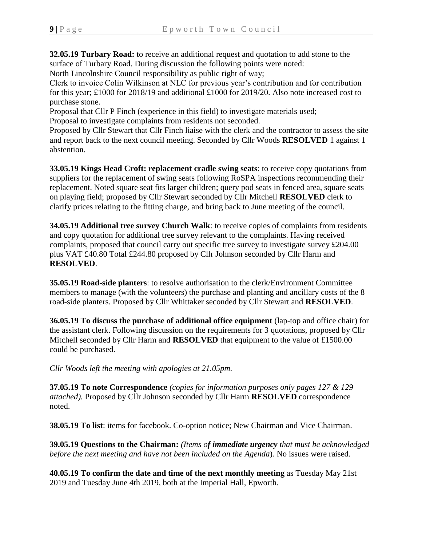**32.05.19 Turbary Road:** to receive an additional request and quotation to add stone to the surface of Turbary Road. During discussion the following points were noted:

North Lincolnshire Council responsibility as public right of way;

Clerk to invoice Colin Wilkinson at NLC for previous year's contribution and for contribution for this year; £1000 for 2018/19 and additional £1000 for 2019/20. Also note increased cost to purchase stone.

Proposal that Cllr P Finch (experience in this field) to investigate materials used; Proposal to investigate complaints from residents not seconded.

Proposed by Cllr Stewart that Cllr Finch liaise with the clerk and the contractor to assess the site and report back to the next council meeting. Seconded by Cllr Woods **RESOLVED** 1 against 1 abstention.

**33.05.19 Kings Head Croft: replacement cradle swing seats**: to receive copy quotations from suppliers for the replacement of swing seats following RoSPA inspections recommending their replacement. Noted square seat fits larger children; query pod seats in fenced area, square seats on playing field; proposed by Cllr Stewart seconded by Cllr Mitchell **RESOLVED** clerk to clarify prices relating to the fitting charge, and bring back to June meeting of the council.

**34.05.19 Additional tree survey Church Walk**: to receive copies of complaints from residents and copy quotation for additional tree survey relevant to the complaints. Having received complaints, proposed that council carry out specific tree survey to investigate survey £204.00 plus VAT £40.80 Total £244.80 proposed by Cllr Johnson seconded by Cllr Harm and **RESOLVED**.

**35.05.19 Road-side planters**: to resolve authorisation to the clerk/Environment Committee members to manage (with the volunteers) the purchase and planting and ancillary costs of the 8 road-side planters. Proposed by Cllr Whittaker seconded by Cllr Stewart and **RESOLVED**.

**36.05.19 To discuss the purchase of additional office equipment** (lap-top and office chair) for the assistant clerk. Following discussion on the requirements for 3 quotations, proposed by Cllr Mitchell seconded by Cllr Harm and **RESOLVED** that equipment to the value of £1500.00 could be purchased.

*Cllr Woods left the meeting with apologies at 21.05pm.*

**37.05.19 To note Correspondence** *(copies for information purposes only pages 127 & 129 attached).* Proposed by Cllr Johnson seconded by Cllr Harm **RESOLVED** correspondence noted.

**38.05.19 To list**: items for facebook. Co-option notice; New Chairman and Vice Chairman.

**39.05.19 Questions to the Chairman:** *(Items of immediate urgency that must be acknowledged before the next meeting and have not been included on the Agenda*)*.* No issues were raised.

**40.05.19 To confirm the date and time of the next monthly meeting** as Tuesday May 21st 2019 and Tuesday June 4th 2019, both at the Imperial Hall, Epworth.